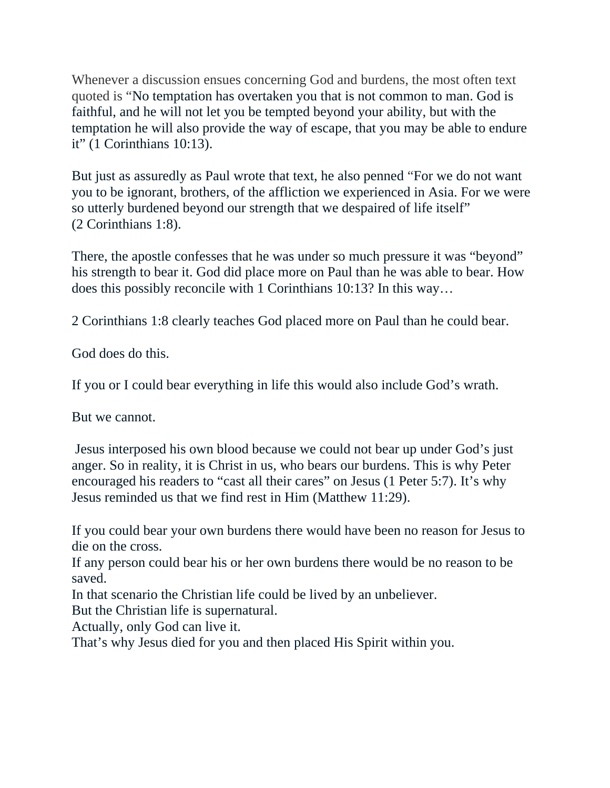Whenever a discussion ensues concerning God and burdens, the most often text quoted is "No temptation has overtaken you that is not common to man. God is faithful, and he will not let you be tempted beyond your ability, but with the temptation he will also provide the way of escape, that you may be able to endure it" (1 Corinthians 10:13).

But just as assuredly as Paul wrote that text, he also penned "For we do not want you to be ignorant, brothers, of the affliction we experienced in Asia. For we were so utterly burdened beyond our strength that we despaired of life itself" (2 Corinthians 1:8).

There, the apostle confesses that he was under so much pressure it was "beyond" his strength to bear it. God did place more on Paul than he was able to bear. How does this possibly reconcile with 1 Corinthians 10:13? In this way…

2 Corinthians 1:8 clearly teaches God placed more on Paul than he could bear.

God does do this.

If you or I could bear everything in life this would also include God's wrath.

But we cannot.

 Jesus interposed his own blood because we could not bear up under God's just anger. So in reality, it is Christ in us, who bears our burdens. This is why Peter encouraged his readers to "cast all their cares" on Jesus (1 Peter 5:7). It's why Jesus reminded us that we find rest in Him (Matthew 11:29).

If you could bear your own burdens there would have been no reason for Jesus to die on the cross.

If any person could bear his or her own burdens there would be no reason to be saved.

In that scenario the Christian life could be lived by an unbeliever.

But the Christian life is supernatural.

Actually, only God can live it.

That's why Jesus died for you and then placed His Spirit within you.